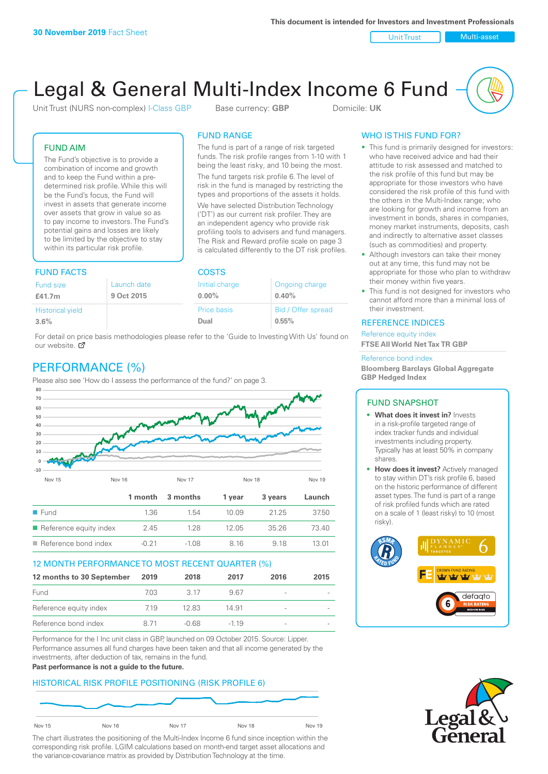Unit Trust Nulti-asset

# Legal & General Multi-Index Income 6 Fund

Unit Trust (NURS non-complex) I-Class GBP Base currency: **GBP** Domicile: UK

The fund is part of a range of risk targeted funds. The risk profile ranges from 1-10 with 1 being the least risky, and 10 being the most. The fund targets risk profile 6. The level of risk in the fund is managed by restricting the types and proportions of the assets it holds. We have selected Distribution Technology ('DT') as our current risk profiler. They are an independent agency who provide risk profiling tools to advisers and fund managers. The Risk and Reward profile scale on page 3 is calculated differently to the DT risk profiles.

FUND RANGE

## FUND AIM

The Fund's objective is to provide a combination of income and growth and to keep the Fund within a predetermined risk profile. While this will be the Fund's focus, the Fund will invest in assets that generate income over assets that grow in value so as to pay income to investors. The Fund's potential gains and losses are likely to be limited by the objective to stay within its particular risk profile.

## FUND FACTS COSTS

| .                       |             |                | ----               |  |  |  |
|-------------------------|-------------|----------------|--------------------|--|--|--|
| Fund size               | Launch date | Initial charge | Ongoing charge     |  |  |  |
| £41.7m                  | 9 Oct 2015  | $0.00\%$       | 0.40%              |  |  |  |
| <b>Historical yield</b> |             | Price basis    | Bid / Offer spread |  |  |  |
| 3.6%                    |             | Dual           | 0.55%              |  |  |  |

For detail on price basis methodologies please refer to the 'Guide to Investing With Us' found on our website. Ø

# PERFORMANCE (%)

Please also see 'How do I assess the performance of the fund?' on page 3.



## 12 MONTH PERFORMANCE TO MOST RECENT QUARTER (%)

| 12 months to 30 September | 2019 | 2018  | 2017   | 2016                     | 2015 |
|---------------------------|------|-------|--------|--------------------------|------|
| Fund                      | 703  | 3.17  | 967    |                          |      |
| Reference equity index    | 719  | 12.83 | 14.91  | $\sim$                   |      |
| Reference bond index      | 8.71 | -0.68 | $-119$ | $\overline{\phantom{a}}$ |      |

Performance for the I Inc unit class in GBP, launched on 09 October 2015. Source: Lipper. Performance assumes all fund charges have been taken and that all income generated by the investments, after deduction of tax, remains in the fund.

#### **Past performance is not a guide to the future.**

## HISTORICAL RISK PROFILE POSITIONING (RISK PROFILE 6)



The chart illustrates the positioning of the Multi-Index Income 6 fund since inception within the corresponding risk profile. LGIM calculations based on month-end target asset allocations and the variance-covariance matrix as provided by Distribution Technology at the time.

## WHO IS THIS FUND FOR?

- This fund is primarily designed for investors: who have received advice and had their attitude to risk assessed and matched to the risk profile of this fund but may be appropriate for those investors who have considered the risk profile of this fund with the others in the Multi-Index range; who are looking for growth and income from an investment in bonds, shares in companies, money market instruments, deposits, cash and indirectly to alternative asset classes (such as commodities) and property.
- Although investors can take their money out at any time, this fund may not be appropriate for those who plan to withdraw their money within five years.
- This fund is not designed for investors who cannot afford more than a minimal loss of their investment.

## REFERENCE INDICES

Reference equity index **FTSE All World Net Tax TR GBP**

#### Reference bond index

**Bloomberg Barclays Global Aggregate GBP Hedged Index**

#### FUND SNAPSHOT

- **• What does it invest in?** Invests in a risk-profile targeted range of index tracker funds and individual investments including property. Typically has at least 50% in company shares.
- **• How does it invest?** Actively managed to stay within DT's risk profile 6, based on the historic performance of different asset types. The fund is part of a range of risk profiled funds which are rated on a scale of 1 (least risky) to 10 (most risky).



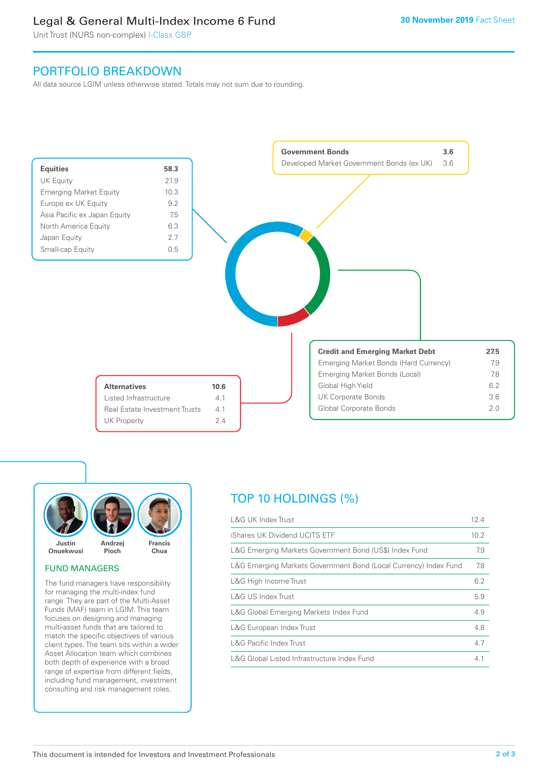# Legal & General Multi-Index Income 6 Fund

Unit Trust (NURS non-complex) I-Class GBP

# PORTFOLIO BREAKDOWN

All data source LGIM unless otherwise stated. Totals may not sum due to rounding.





## FUND MANAGERS

The fund managers have responsibility for managing the multi-index fund range. They are part of the Multi-Asset Funds (MAF) team in LGIM. This team focuses on designing and managing multi-asset funds that are tailored to match the specific objectives of various client types. The team sits within a wider Asset Allocation team which combines both depth of experience with a broad range of expertise from different fields, including fund management, investment consulting and risk management roles.

# TOP 10 HOLDINGS (%)

| <b>L&amp;G UK Index Trust</b>                                    | 12.4 |
|------------------------------------------------------------------|------|
| iShares UK Dividend UCITS ETF                                    | 10.2 |
| L&G Emerging Markets Government Bond (US\$) Index Fund           | 7.9  |
| L&G Emerging Markets Government Bond (Local Currency) Index Fund | 7.8  |
| L&G High Income Trust                                            | 6.2  |
| L&G US Index Trust                                               | 5.9  |
| L&G Global Emerging Markets Index Fund                           | 4.9  |
| L&G European Index Trust                                         | 4.8  |
| <b>L&amp;G Pacific Index Trust</b>                               | 4.7  |
| L&G Global Listed Infrastructure Index Fund                      | 4.1  |